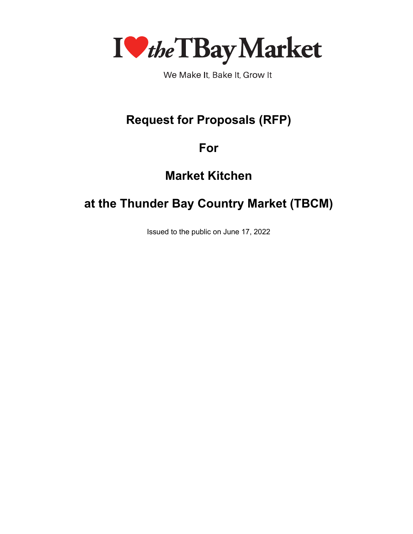

We Make It, Bake It, Grow It

# **Request for Proposals (RFP)**

## **For**

# **Market Kitchen**

# **at the Thunder Bay Country Market (TBCM)**

Issued to the public on June 17, 2022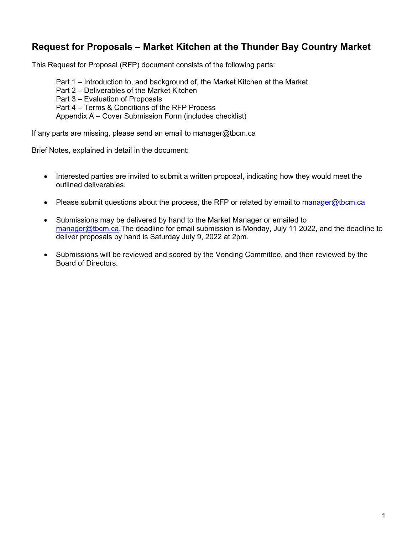## **Request for Proposals – Market Kitchen at the Thunder Bay Country Market**

This Request for Proposal (RFP) document consists of the following parts:

Part 1 – Introduction to, and background of, the Market Kitchen at the Market Part 2 – Deliverables of the Market Kitchen Part 3 – Evaluation of Proposals Part 4 – Terms & Conditions of the RFP Process Appendix A – Cover Submission Form (includes checklist)

If any parts are missing, please send an email to manager@tbcm.ca

Brief Notes, explained in detail in the document:

- Interested parties are invited to submit a written proposal, indicating how they would meet the outlined deliverables.
- Please submit questions about the process, the RFP or related by email to manager@tbcm.ca
- Submissions may be delivered by hand to the Market Manager or emailed to manager@tbcm.ca.The deadline for email submission is Monday, July 11 2022, and the deadline to deliver proposals by hand is Saturday July 9, 2022 at 2pm.
- Submissions will be reviewed and scored by the Vending Committee, and then reviewed by the Board of Directors.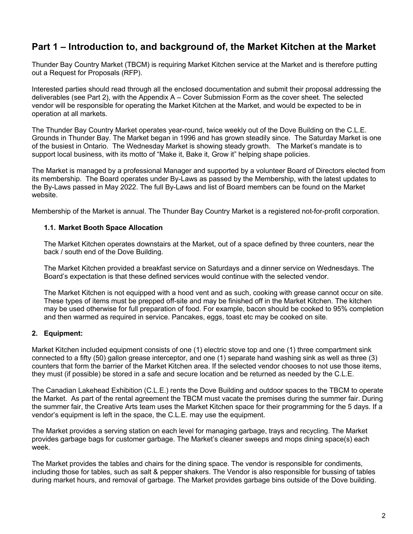## **Part 1 – Introduction to, and background of, the Market Kitchen at the Market**

Thunder Bay Country Market (TBCM) is requiring Market Kitchen service at the Market and is therefore putting out a Request for Proposals (RFP).

Interested parties should read through all the enclosed documentation and submit their proposal addressing the deliverables (see Part 2), with the Appendix A – Cover Submission Form as the cover sheet. The selected vendor will be responsible for operating the Market Kitchen at the Market, and would be expected to be in operation at all markets.

The Thunder Bay Country Market operates year-round, twice weekly out of the Dove Building on the C.L.E. Grounds in Thunder Bay. The Market began in 1996 and has grown steadily since. The Saturday Market is one of the busiest in Ontario. The Wednesday Market is showing steady growth. The Market's mandate is to support local business, with its motto of "Make it, Bake it, Grow it" helping shape policies.

The Market is managed by a professional Manager and supported by a volunteer Board of Directors elected from its membership. The Board operates under By-Laws as passed by the Membership, with the latest updates to the By-Laws passed in May 2022. The full By-Laws and list of Board members can be found on the Market website.

Membership of the Market is annual. The Thunder Bay Country Market is a registered not-for-profit corporation.

#### **1.1. Market Booth Space Allocation**

The Market Kitchen operates downstairs at the Market, out of a space defined by three counters, near the back / south end of the Dove Building.

The Market Kitchen provided a breakfast service on Saturdays and a dinner service on Wednesdays. The Board's expectation is that these defined services would continue with the selected vendor.

The Market Kitchen is not equipped with a hood vent and as such, cooking with grease cannot occur on site. These types of items must be prepped off-site and may be finished off in the Market Kitchen. The kitchen may be used otherwise for full preparation of food. For example, bacon should be cooked to 95% completion and then warmed as required in service. Pancakes, eggs, toast etc may be cooked on site.

#### **2. Equipment:**

Market Kitchen included equipment consists of one (1) electric stove top and one (1) three compartment sink connected to a fifty (50) gallon grease interceptor, and one (1) separate hand washing sink as well as three (3) counters that form the barrier of the Market Kitchen area. If the selected vendor chooses to not use those items, they must (if possible) be stored in a safe and secure location and be returned as needed by the C.L.E.

The Canadian Lakehead Exhibition (C.L.E.) rents the Dove Building and outdoor spaces to the TBCM to operate the Market. As part of the rental agreement the TBCM must vacate the premises during the summer fair. During the summer fair, the Creative Arts team uses the Market Kitchen space for their programming for the 5 days. If a vendor's equipment is left in the space, the C.L.E. may use the equipment.

The Market provides a serving station on each level for managing garbage, trays and recycling. The Market provides garbage bags for customer garbage. The Market's cleaner sweeps and mops dining space(s) each week.

The Market provides the tables and chairs for the dining space. The vendor is responsible for condiments, including those for tables, such as salt & pepper shakers. The Vendor is also responsible for bussing of tables during market hours, and removal of garbage. The Market provides garbage bins outside of the Dove building.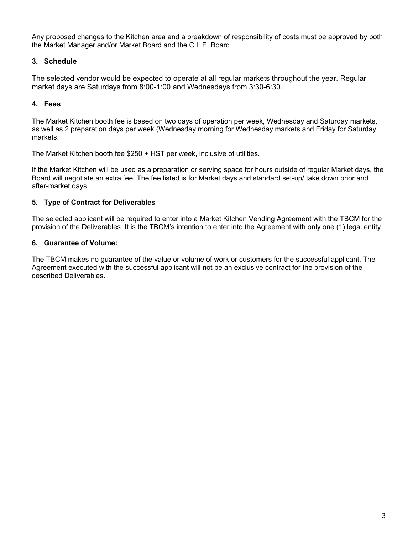Any proposed changes to the Kitchen area and a breakdown of responsibility of costs must be approved by both the Market Manager and/or Market Board and the C.L.E. Board.

### **3. Schedule**

The selected vendor would be expected to operate at all regular markets throughout the year. Regular market days are Saturdays from 8:00-1:00 and Wednesdays from 3:30-6:30.

### **4. Fees**

The Market Kitchen booth fee is based on two days of operation per week, Wednesday and Saturday markets, as well as 2 preparation days per week (Wednesday morning for Wednesday markets and Friday for Saturday markets.

The Market Kitchen booth fee \$250 + HST per week, inclusive of utilities.

If the Market Kitchen will be used as a preparation or serving space for hours outside of regular Market days, the Board will negotiate an extra fee. The fee listed is for Market days and standard set-up/ take down prior and after-market days.

#### **5. Type of Contract for Deliverables**

The selected applicant will be required to enter into a Market Kitchen Vending Agreement with the TBCM for the provision of the Deliverables. It is the TBCM's intention to enter into the Agreement with only one (1) legal entity.

#### **6. Guarantee of Volume:**

The TBCM makes no guarantee of the value or volume of work or customers for the successful applicant. The Agreement executed with the successful applicant will not be an exclusive contract for the provision of the described Deliverables.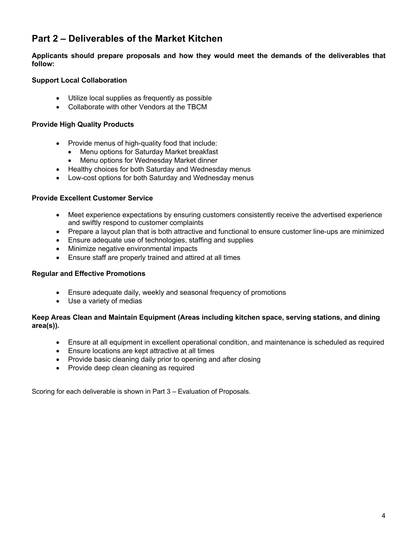## **Part 2 – Deliverables of the Market Kitchen**

**Applicants should prepare proposals and how they would meet the demands of the deliverables that follow:**

#### **Support Local Collaboration**

- Utilize local supplies as frequently as possible
- Collaborate with other Vendors at the TBCM

#### **Provide High Quality Products**

- Provide menus of high-quality food that include:
	- Menu options for Saturday Market breakfast
	- Menu options for Wednesday Market dinner
- Healthy choices for both Saturday and Wednesday menus
- Low-cost options for both Saturday and Wednesday menus

#### **Provide Excellent Customer Service**

- Meet experience expectations by ensuring customers consistently receive the advertised experience and swiftly respond to customer complaints
- Prepare a layout plan that is both attractive and functional to ensure customer line-ups are minimized
- Ensure adequate use of technologies, staffing and supplies
- Minimize negative environmental impacts
- Ensure staff are properly trained and attired at all times

#### **Regular and Effective Promotions**

- Ensure adequate daily, weekly and seasonal frequency of promotions
- Use a variety of medias

#### **Keep Areas Clean and Maintain Equipment (Areas including kitchen space, serving stations, and dining area(s)).**

- Ensure at all equipment in excellent operational condition, and maintenance is scheduled as required
- Ensure locations are kept attractive at all times
- Provide basic cleaning daily prior to opening and after closing
- Provide deep clean cleaning as required

Scoring for each deliverable is shown in Part 3 – Evaluation of Proposals.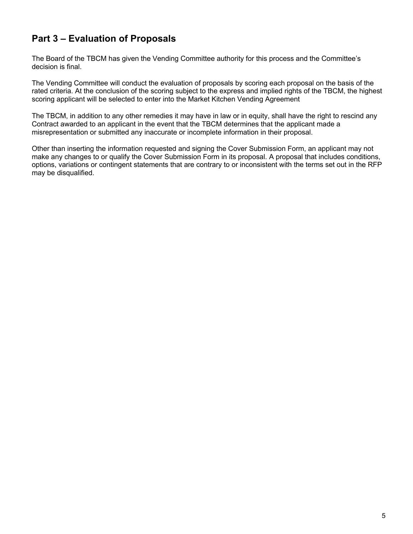## **Part 3 – Evaluation of Proposals**

The Board of the TBCM has given the Vending Committee authority for this process and the Committee's decision is final.

The Vending Committee will conduct the evaluation of proposals by scoring each proposal on the basis of the rated criteria. At the conclusion of the scoring subject to the express and implied rights of the TBCM, the highest scoring applicant will be selected to enter into the Market Kitchen Vending Agreement

The TBCM, in addition to any other remedies it may have in law or in equity, shall have the right to rescind any Contract awarded to an applicant in the event that the TBCM determines that the applicant made a misrepresentation or submitted any inaccurate or incomplete information in their proposal.

Other than inserting the information requested and signing the Cover Submission Form, an applicant may not make any changes to or qualify the Cover Submission Form in its proposal. A proposal that includes conditions, options, variations or contingent statements that are contrary to or inconsistent with the terms set out in the RFP may be disqualified.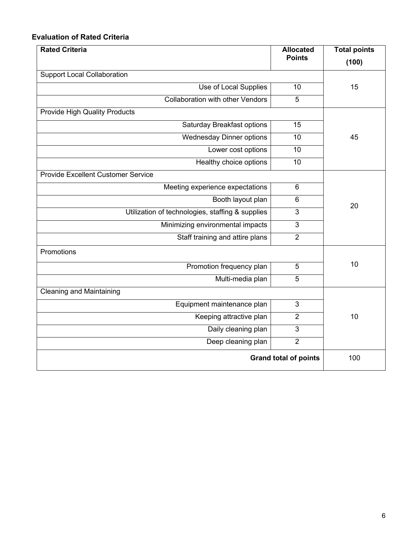### **Evaluation of Rated Criteria**

| <b>Rated Criteria</b>                            | <b>Allocated</b> | <b>Total points</b> |  |  |
|--------------------------------------------------|------------------|---------------------|--|--|
|                                                  | <b>Points</b>    | (100)               |  |  |
| <b>Support Local Collaboration</b>               |                  |                     |  |  |
| Use of Local Supplies                            | 10               | 15                  |  |  |
| <b>Collaboration with other Vendors</b>          | 5                |                     |  |  |
| <b>Provide High Quality Products</b>             |                  |                     |  |  |
| Saturday Breakfast options                       | 15               |                     |  |  |
| <b>Wednesday Dinner options</b>                  | 10               | 45                  |  |  |
| Lower cost options                               | 10               |                     |  |  |
| Healthy choice options                           | 10               |                     |  |  |
| <b>Provide Excellent Customer Service</b>        |                  |                     |  |  |
| Meeting experience expectations                  | $6\phantom{1}$   |                     |  |  |
| Booth layout plan                                | $6\phantom{1}$   |                     |  |  |
| Utilization of technologies, staffing & supplies | 3                | 20                  |  |  |
| Minimizing environmental impacts                 | 3                |                     |  |  |
| Staff training and attire plans                  | $\overline{2}$   |                     |  |  |
| Promotions                                       |                  |                     |  |  |
| Promotion frequency plan                         | $\overline{5}$   | 10                  |  |  |
| Multi-media plan                                 | 5                |                     |  |  |
| <b>Cleaning and Maintaining</b>                  |                  |                     |  |  |
| Equipment maintenance plan                       | 3                |                     |  |  |
| Keeping attractive plan                          | $\overline{2}$   | 10                  |  |  |
| Daily cleaning plan                              | 3                |                     |  |  |
| Deep cleaning plan                               | $\overline{2}$   |                     |  |  |
| <b>Grand total of points</b>                     | 100              |                     |  |  |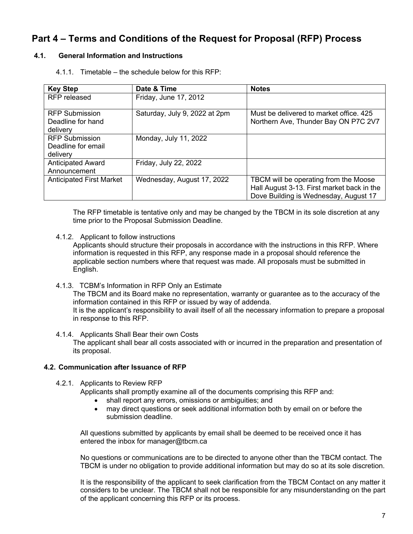## **Part 4 – Terms and Conditions of the Request for Proposal (RFP) Process**

#### **4.1. General Information and Instructions**

4.1.1. Timetable – the schedule below for this RFP:

| <b>Key Step</b>                                        | Date & Time                   | <b>Notes</b>                                                                    |
|--------------------------------------------------------|-------------------------------|---------------------------------------------------------------------------------|
| <b>RFP</b> released                                    | Friday, June 17, 2012         |                                                                                 |
| <b>RFP Submission</b><br>Deadline for hand<br>delivery | Saturday, July 9, 2022 at 2pm | Must be delivered to market office. 425<br>Northern Ave, Thunder Bay ON P7C 2V7 |
| <b>RFP Submission</b>                                  | Monday, July 11, 2022         |                                                                                 |
| Deadline for email                                     |                               |                                                                                 |
| delivery                                               |                               |                                                                                 |
| <b>Anticipated Award</b>                               | Friday, July 22, 2022         |                                                                                 |
| Announcement                                           |                               |                                                                                 |
| <b>Anticipated First Market</b>                        | Wednesday, August 17, 2022    | TBCM will be operating from the Moose                                           |
|                                                        |                               | Hall August 3-13. First market back in the                                      |
|                                                        |                               | Dove Building is Wednesday, August 17                                           |

The RFP timetable is tentative only and may be changed by the TBCM in its sole discretion at any time prior to the Proposal Submission Deadline.

4.1.2. Applicant to follow instructions

Applicants should structure their proposals in accordance with the instructions in this RFP. Where information is requested in this RFP, any response made in a proposal should reference the applicable section numbers where that request was made. All proposals must be submitted in English.

4.1.3. TCBM's Information in RFP Only an Estimate

The TBCM and its Board make no representation, warranty or guarantee as to the accuracy of the information contained in this RFP or issued by way of addenda.

It is the applicant's responsibility to avail itself of all the necessary information to prepare a proposal in response to this RFP.

4.1.4. Applicants Shall Bear their own Costs

The applicant shall bear all costs associated with or incurred in the preparation and presentation of its proposal.

#### **4.2. Communication after Issuance of RFP**

4.2.1. Applicants to Review RFP

Applicants shall promptly examine all of the documents comprising this RFP and:

- shall report any errors, omissions or ambiguities; and
- may direct questions or seek additional information both by email on or before the submission deadline.

All questions submitted by applicants by email shall be deemed to be received once it has entered the inbox for manager@tbcm.ca

No questions or communications are to be directed to anyone other than the TBCM contact. The TBCM is under no obligation to provide additional information but may do so at its sole discretion.

It is the responsibility of the applicant to seek clarification from the TBCM Contact on any matter it considers to be unclear. The TBCM shall not be responsible for any misunderstanding on the part of the applicant concerning this RFP or its process.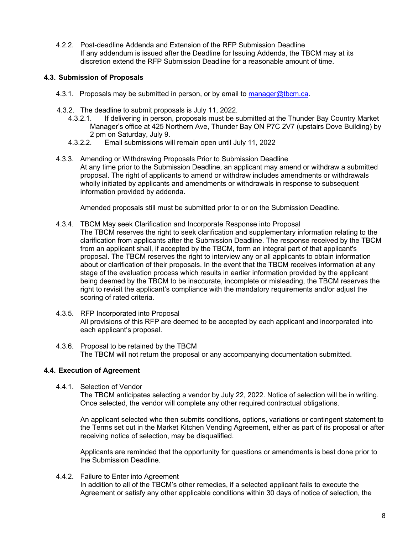4.2.2. Post-deadline Addenda and Extension of the RFP Submission Deadline If any addendum is issued after the Deadline for Issuing Addenda, the TBCM may at its discretion extend the RFP Submission Deadline for a reasonable amount of time.

#### **4.3. Submission of Proposals**

- 4.3.1. Proposals may be submitted in person, or by email to manager@tbcm.ca.
- 4.3.2. The deadline to submit proposals is July 11, 2022.
	- 4.3.2.1. If delivering in person, proposals must be submitted at the Thunder Bay Country Market Manager's office at 425 Northern Ave, Thunder Bay ON P7C 2V7 (upstairs Dove Building) by 2 pm on Saturday, July 9.
	- 4.3.2.2. Email submissions will remain open until July 11, 2022
- 4.3.3. Amending or Withdrawing Proposals Prior to Submission Deadline At any time prior to the Submission Deadline, an applicant may amend or withdraw a submitted proposal. The right of applicants to amend or withdraw includes amendments or withdrawals wholly initiated by applicants and amendments or withdrawals in response to subsequent information provided by addenda.

Amended proposals still must be submitted prior to or on the Submission Deadline.

- 4.3.4. TBCM May seek Clarification and Incorporate Response into Proposal
	- The TBCM reserves the right to seek clarification and supplementary information relating to the clarification from applicants after the Submission Deadline. The response received by the TBCM from an applicant shall, if accepted by the TBCM, form an integral part of that applicant's proposal. The TBCM reserves the right to interview any or all applicants to obtain information about or clarification of their proposals. In the event that the TBCM receives information at any stage of the evaluation process which results in earlier information provided by the applicant being deemed by the TBCM to be inaccurate, incomplete or misleading, the TBCM reserves the right to revisit the applicant's compliance with the mandatory requirements and/or adjust the scoring of rated criteria.
- 4.3.5. RFP Incorporated into Proposal All provisions of this RFP are deemed to be accepted by each applicant and incorporated into each applicant's proposal.
- 4.3.6. Proposal to be retained by the TBCM The TBCM will not return the proposal or any accompanying documentation submitted.

#### **4.4. Execution of Agreement**

4.4.1. Selection of Vendor

The TBCM anticipates selecting a vendor by July 22, 2022. Notice of selection will be in writing. Once selected, the vendor will complete any other required contractual obligations.

An applicant selected who then submits conditions, options, variations or contingent statement to the Terms set out in the Market Kitchen Vending Agreement, either as part of its proposal or after receiving notice of selection, may be disqualified.

Applicants are reminded that the opportunity for questions or amendments is best done prior to the Submission Deadline.

4.4.2. Failure to Enter into Agreement In addition to all of the TBCM's other remedies, if a selected applicant fails to execute the Agreement or satisfy any other applicable conditions within 30 days of notice of selection, the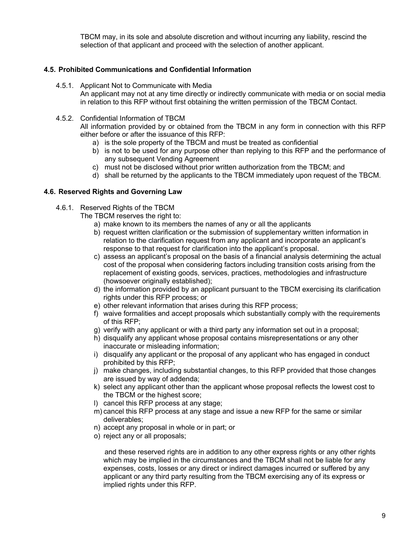TBCM may, in its sole and absolute discretion and without incurring any liability, rescind the selection of that applicant and proceed with the selection of another applicant.

#### **4.5. Prohibited Communications and Confidential Information**

4.5.1. Applicant Not to Communicate with Media

An applicant may not at any time directly or indirectly communicate with media or on social media in relation to this RFP without first obtaining the written permission of the TBCM Contact.

4.5.2. Confidential Information of TBCM

All information provided by or obtained from the TBCM in any form in connection with this RFP either before or after the issuance of this RFP:

- a) is the sole property of the TBCM and must be treated as confidential
- b) is not to be used for any purpose other than replying to this RFP and the performance of any subsequent Vending Agreement
- c) must not be disclosed without prior written authorization from the TBCM; and
- d) shall be returned by the applicants to the TBCM immediately upon request of the TBCM.

#### **4.6. Reserved Rights and Governing Law**

4.6.1. Reserved Rights of the TBCM

The TBCM reserves the right to:

- a) make known to its members the names of any or all the applicants
- b) request written clarification or the submission of supplementary written information in relation to the clarification request from any applicant and incorporate an applicant's response to that request for clarification into the applicant's proposal.
- c) assess an applicant's proposal on the basis of a financial analysis determining the actual cost of the proposal when considering factors including transition costs arising from the replacement of existing goods, services, practices, methodologies and infrastructure (howsoever originally established);
- d) the information provided by an applicant pursuant to the TBCM exercising its clarification rights under this RFP process; or
- e) other relevant information that arises during this RFP process;
- f) waive formalities and accept proposals which substantially comply with the requirements of this RFP;
- g) verify with any applicant or with a third party any information set out in a proposal;
- h) disqualify any applicant whose proposal contains misrepresentations or any other inaccurate or misleading information;
- i) disqualify any applicant or the proposal of any applicant who has engaged in conduct prohibited by this RFP;
- j) make changes, including substantial changes, to this RFP provided that those changes are issued by way of addenda;
- k) select any applicant other than the applicant whose proposal reflects the lowest cost to the TBCM or the highest score;
- l) cancel this RFP process at any stage;
- m) cancel this RFP process at any stage and issue a new RFP for the same or similar deliverables;
- n) accept any proposal in whole or in part; or
- o) reject any or all proposals;

and these reserved rights are in addition to any other express rights or any other rights which may be implied in the circumstances and the TBCM shall not be liable for any expenses, costs, losses or any direct or indirect damages incurred or suffered by any applicant or any third party resulting from the TBCM exercising any of its express or implied rights under this RFP.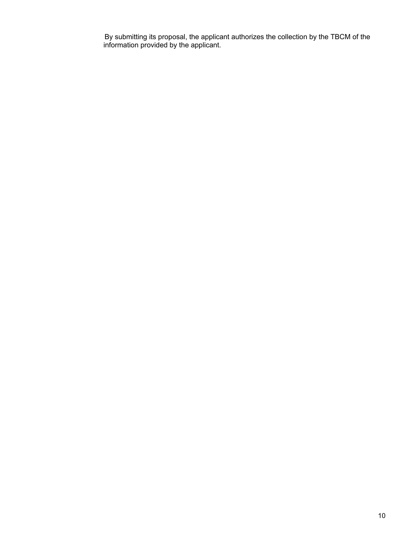By submitting its proposal, the applicant authorizes the collection by the TBCM of the information provided by the applicant.